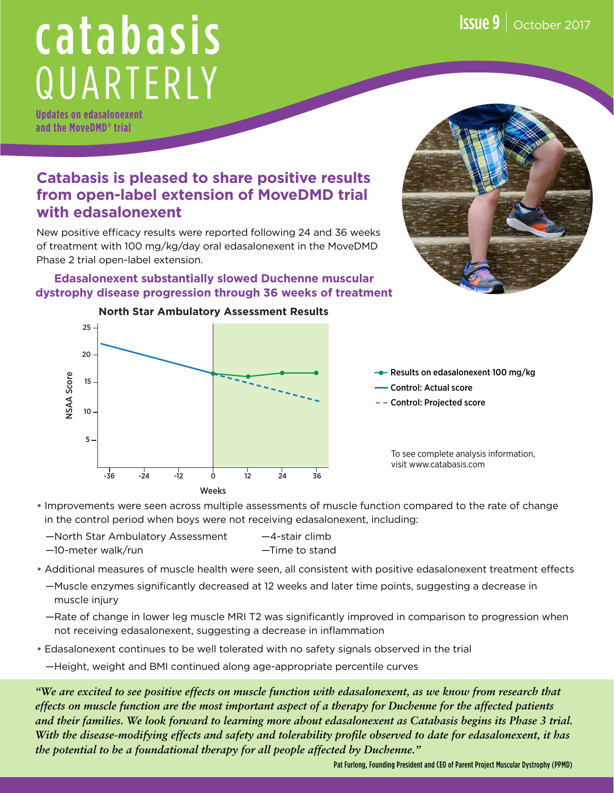# catabasis QUARTERLY

**Updates on edasalonexent and the MoveDMD® trial**

### **Catabasis is pleased to share positive results from open-label extension of MoveDMD trial with edasalonexent**

New positive efficacy results were reported following 24 and 36 weeks of treatment with 100 mg/kg/day oral edasalonexent in the MoveDMD Phase 2 trial open-label extension.

#### **Edasalonexent substantially slowed Duchenne muscular dystrophy disease progression through 36 weeks of treatment**





- $\rightarrow$  Results on edasalonexent 100 mg/kg
- Control: Actual score
- Control: Projected score

To see complete analysis information, visit www.catabasis.com

- **•** Improvements were seen across multiple assessments of muscle function compared to the rate of change in the control period when boys were not receiving edasalonexent, including:
	- —North Star Ambulatory Assessment —4-stair climb —10-meter walk/run —Time to stand
- **•** Additional measures of muscle health were seen, all consistent with positive edasalonexent treatment effects
	- —Muscle enzymes significantly decreased at 12 weeks and later time points, suggesting a decrease in muscle injury
	- —Rate of change in lower leg muscle MRI T2 was significantly improved in comparison to progression when not receiving edasalonexent, suggesting a decrease in inflammation
- **•** Edasalonexent continues to be well tolerated with no safety signals observed in the trial
	- —Height, weight and BMI continued along age-appropriate percentile curves

*"We are excited to see positive effects on muscle function with edasalonexent, as we know from research that effects on muscle function are the most important aspect of a therapy for Duchenne for the affected patients and their families. We look forward to learning more about edasalonexent as Catabasis begins its Phase 3 trial. With the disease-modifying effects and safety and tolerability profile observed to date for edasalonexent, it has the potential to be a foundational therapy for all people affected by Duchenne."*